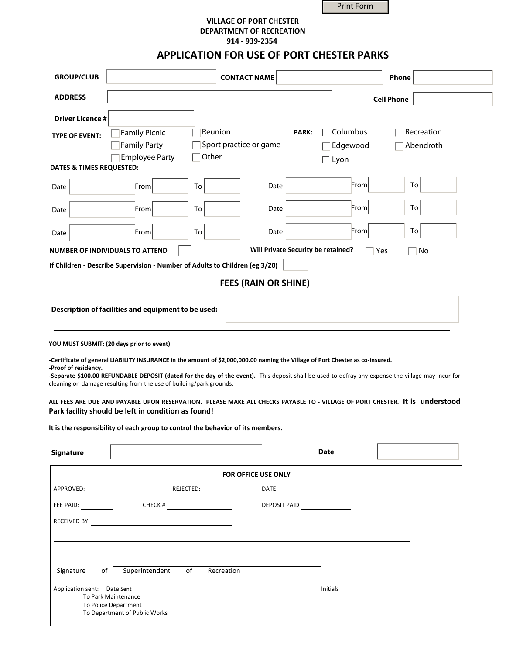Print Form

## **VILLAGE OF PORT CHESTER DEPARTMENT OF RECREATION** 914 - 939-2354

## **APPLICATION FOR USE OF PORT CHESTER PARKS**

| <b>GROUP/CLUB</b>                              |                                                                                                                                                                                                                                                                                                                                                                                            |                                            | <b>CONTACT NAME</b>                |                      | <b>Phone</b>                                                                                                                                                                                                                                                                       |
|------------------------------------------------|--------------------------------------------------------------------------------------------------------------------------------------------------------------------------------------------------------------------------------------------------------------------------------------------------------------------------------------------------------------------------------------------|--------------------------------------------|------------------------------------|----------------------|------------------------------------------------------------------------------------------------------------------------------------------------------------------------------------------------------------------------------------------------------------------------------------|
| <b>ADDRESS</b>                                 |                                                                                                                                                                                                                                                                                                                                                                                            |                                            |                                    |                      | <b>Cell Phone</b>                                                                                                                                                                                                                                                                  |
| <b>Driver Licence #</b>                        |                                                                                                                                                                                                                                                                                                                                                                                            |                                            |                                    |                      |                                                                                                                                                                                                                                                                                    |
| <b>TYPE OF EVENT:</b>                          | Family Picnic<br>Family Party<br><b>Employee Party</b>                                                                                                                                                                                                                                                                                                                                     | Reunion<br>Sport practice or game<br>Other | <b>PARK:</b>                       | Columbus<br>Edgewood | Recreation<br>Abendroth                                                                                                                                                                                                                                                            |
| <b>DATES &amp; TIMES REQUESTED:</b>            |                                                                                                                                                                                                                                                                                                                                                                                            |                                            |                                    | Lyon                 |                                                                                                                                                                                                                                                                                    |
| Date                                           | From                                                                                                                                                                                                                                                                                                                                                                                       | To                                         | Date                               | From                 | To                                                                                                                                                                                                                                                                                 |
| Date                                           | From                                                                                                                                                                                                                                                                                                                                                                                       | To                                         | Date                               | From                 | To                                                                                                                                                                                                                                                                                 |
| Date                                           | From                                                                                                                                                                                                                                                                                                                                                                                       | To                                         | Date                               | From                 | To                                                                                                                                                                                                                                                                                 |
|                                                | <b>NUMBER OF INDIVIDUALS TO ATTEND</b>                                                                                                                                                                                                                                                                                                                                                     |                                            | Will Private Security be retained? |                      | $\Box$ Yes<br>No                                                                                                                                                                                                                                                                   |
|                                                | If Children - Describe Supervision - Number of Adults to Children (eg 3/20)                                                                                                                                                                                                                                                                                                                |                                            |                                    |                      |                                                                                                                                                                                                                                                                                    |
|                                                |                                                                                                                                                                                                                                                                                                                                                                                            |                                            | <b>FEES (RAIN OR SHINE)</b>        |                      |                                                                                                                                                                                                                                                                                    |
| -Proof of residency.<br><b>Signature</b>       | YOU MUST SUBMIT: (20 days prior to event)<br>-Certificate of general LIABILITY INSURANCE in the amount of \$2,000,000.00 naming the Village of Port Chester as co-insured.<br>cleaning or damage resulting from the use of building/park grounds.<br>Park facility should be left in condition as found!<br>It is the responsibility of each group to control the behavior of its members. |                                            |                                    | <b>Date</b>          | -Separate \$100.00 REFUNDABLE DEPOSIT (dated for the day of the event). This deposit shall be used to defray any expense the village may incur for<br>ALL FEES ARE DUE AND PAYABLE UPON RESERVATION. PLEASE MAKE ALL CHECKS PAYABLE TO - VILLAGE OF PORT CHESTER. It is understood |
|                                                |                                                                                                                                                                                                                                                                                                                                                                                            |                                            | <b>FOR OFFICE USE ONLY</b>         |                      |                                                                                                                                                                                                                                                                                    |
|                                                |                                                                                                                                                                                                                                                                                                                                                                                            | REJECTED:                                  |                                    |                      |                                                                                                                                                                                                                                                                                    |
|                                                |                                                                                                                                                                                                                                                                                                                                                                                            | CHECK # $\qquad \qquad$                    |                                    | DEPOSIT PAID         |                                                                                                                                                                                                                                                                                    |
|                                                |                                                                                                                                                                                                                                                                                                                                                                                            |                                            |                                    |                      |                                                                                                                                                                                                                                                                                    |
| Signature<br>of<br>Application sent: Date Sent | Superintendent<br>To Park Maintenance<br>To Police Department                                                                                                                                                                                                                                                                                                                              | of<br>Recreation                           |                                    | Initials             |                                                                                                                                                                                                                                                                                    |
|                                                | To Department of Public Works                                                                                                                                                                                                                                                                                                                                                              |                                            |                                    |                      |                                                                                                                                                                                                                                                                                    |